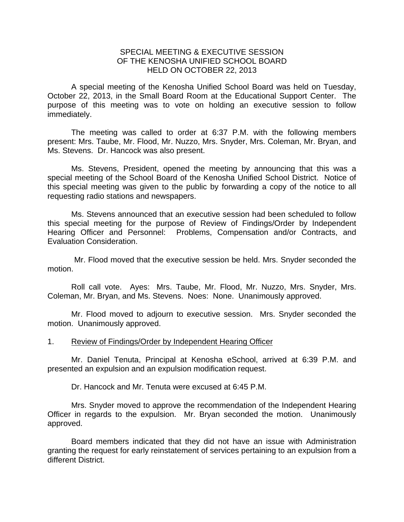## SPECIAL MEETING & EXECUTIVE SESSION OF THE KENOSHA UNIFIED SCHOOL BOARD HELD ON OCTOBER 22, 2013

A special meeting of the Kenosha Unified School Board was held on Tuesday, October 22, 2013, in the Small Board Room at the Educational Support Center. The purpose of this meeting was to vote on holding an executive session to follow immediately.

 The meeting was called to order at 6:37 P.M. with the following members present: Mrs. Taube, Mr. Flood, Mr. Nuzzo, Mrs. Snyder, Mrs. Coleman, Mr. Bryan, and Ms. Stevens. Dr. Hancock was also present.

 Ms. Stevens, President, opened the meeting by announcing that this was a special meeting of the School Board of the Kenosha Unified School District. Notice of this special meeting was given to the public by forwarding a copy of the notice to all requesting radio stations and newspapers.

 Ms. Stevens announced that an executive session had been scheduled to follow this special meeting for the purpose of Review of Findings/Order by Independent Hearing Officer and Personnel: Problems, Compensation and/or Contracts, and Evaluation Consideration.

 Mr. Flood moved that the executive session be held. Mrs. Snyder seconded the motion.

 Roll call vote. Ayes: Mrs. Taube, Mr. Flood, Mr. Nuzzo, Mrs. Snyder, Mrs. Coleman, Mr. Bryan, and Ms. Stevens. Noes: None. Unanimously approved.

 Mr. Flood moved to adjourn to executive session. Mrs. Snyder seconded the motion. Unanimously approved.

## 1. Review of Findings/Order by Independent Hearing Officer

 Mr. Daniel Tenuta, Principal at Kenosha eSchool, arrived at 6:39 P.M. and presented an expulsion and an expulsion modification request.

Dr. Hancock and Mr. Tenuta were excused at 6:45 P.M.

Mrs. Snyder moved to approve the recommendation of the Independent Hearing Officer in regards to the expulsion. Mr. Bryan seconded the motion. Unanimously approved.

 Board members indicated that they did not have an issue with Administration granting the request for early reinstatement of services pertaining to an expulsion from a different District.